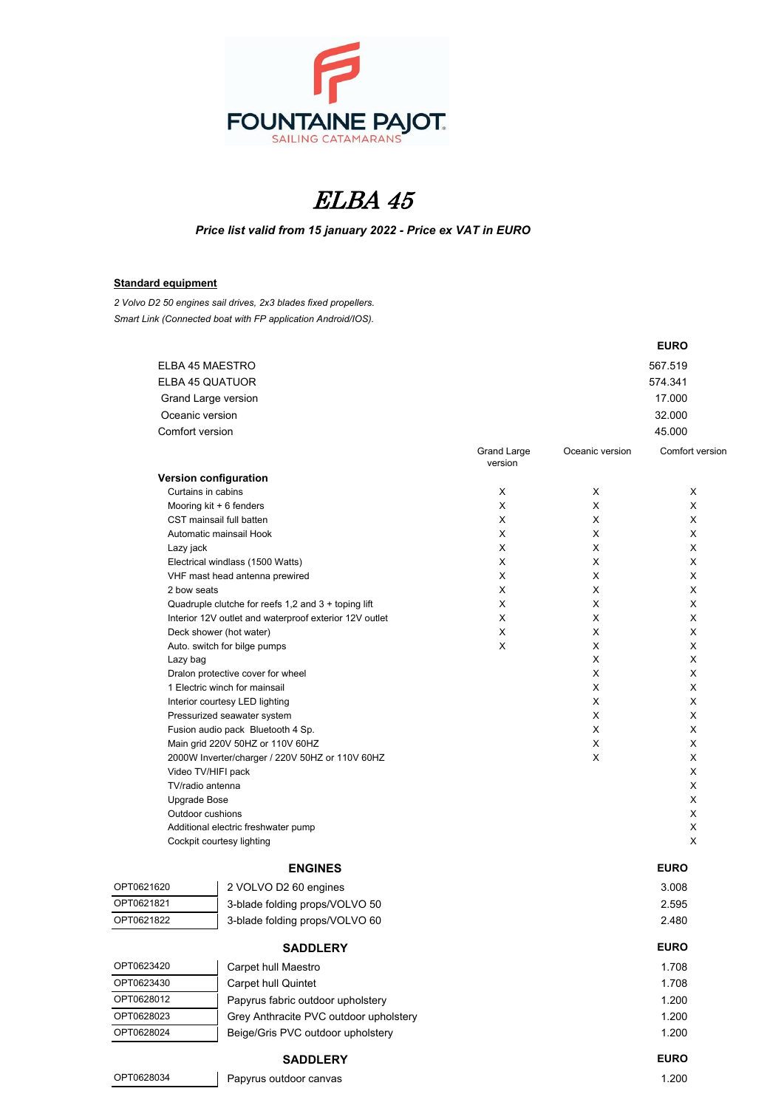

## ELBA 45

*Price list valid from 15 january 2022 - Price ex VAT in EURO*

## **Standard equipment**

*2 Volvo D2 50 engines sail drives, 2x3 blades fixed propellers. Smart Link (Connected boat with FP application Android/IOS).*

|                        |                                                                    |             |                 | <b>EURO</b>     |
|------------------------|--------------------------------------------------------------------|-------------|-----------------|-----------------|
|                        | ELBA 45 MAESTRO                                                    |             |                 | 567.519         |
| <b>ELBA 45 QUATUOR</b> |                                                                    |             |                 | 574.341         |
|                        | Grand Large version                                                |             |                 | 17.000          |
| Oceanic version        |                                                                    |             |                 | 32.000          |
| Comfort version        |                                                                    |             |                 | 45.000          |
|                        |                                                                    | Grand Large | Oceanic version | Comfort versior |
|                        |                                                                    | version     |                 |                 |
|                        | Version configuration                                              |             |                 |                 |
|                        | Curtains in cabins                                                 | X           | X               | X               |
|                        | Mooring kit + 6 fenders                                            | X           | X               | X               |
|                        | CST mainsail full batten                                           | X           | Χ               | X               |
|                        | Automatic mainsail Hook                                            | X           | X               | X               |
| Lazy jack              |                                                                    | X<br>X      | X<br>X          | X<br>X          |
|                        | Electrical windlass (1500 Watts)<br>VHF mast head antenna prewired | X           | Χ               | X               |
| 2 bow seats            |                                                                    | X           | X               | X               |
|                        | Quadruple clutche for reefs $1,2$ and $3 +$ toping lift            | X           | Χ               | X               |
|                        | Interior 12V outlet and waterproof exterior 12V outlet             | X           | Χ               | X               |
|                        | Deck shower (hot water)                                            | X           | X               | X               |
|                        | Auto. switch for bilge pumps                                       | X           | X               | X               |
| Lazy bag               |                                                                    |             | X               | X               |
|                        | Dralon protective cover for wheel                                  |             | Χ               | X               |
|                        | 1 Electric winch for mainsail                                      |             | X               | X               |
|                        | Interior courtesy LED lighting<br>Pressurized seawater system      |             | X<br>X          | X<br>X          |
|                        | Fusion audio pack Bluetooth 4 Sp.                                  |             | X               | X               |
|                        | Main grid 220V 50HZ or 110V 60HZ                                   |             | X               | X               |
|                        | 2000W Inverter/charger / 220V 50HZ or 110V 60HZ                    |             | X               | X               |
|                        | Video TV/HIFI pack                                                 |             |                 | X               |
|                        | TV/radio antenna                                                   |             |                 | X               |
|                        | Upgrade Bose                                                       |             |                 | X               |
|                        | Outdoor cushions                                                   |             |                 | X               |
|                        | Additional electric freshwater pump                                |             |                 | X               |
|                        | Cockpit courtesy lighting                                          |             |                 | X               |
|                        | <b>ENGINES</b>                                                     |             |                 | <b>EURO</b>     |
| OPT0621620             | 2 VOLVO D2 60 engines                                              |             |                 | 3.008           |
| OPT0621821             | 3-blade folding props/VOLVO 50                                     |             |                 | 2.595           |
| OPT0621822             | 3-blade folding props/VOLVO 60                                     |             |                 | 2.480           |
|                        | <b>SADDLERY</b>                                                    |             |                 | <b>EURO</b>     |
| OPT0623420             | Carpet hull Maestro                                                |             |                 | 1.708           |
| OPT0623430             | Carpet hull Quintet                                                |             |                 | 1.708           |
| OPT0628012             | Papyrus fabric outdoor upholstery                                  |             |                 | 1.200           |
| OPT0628023             | Grey Anthracite PVC outdoor upholstery                             |             |                 | 1.200           |
| OPT0628024             | Beige/Gris PVC outdoor upholstery                                  |             |                 | 1.200           |
|                        | <b>SADDLERY</b>                                                    |             |                 | <b>EURO</b>     |
| OPT0628034             |                                                                    |             |                 | 1.200           |
|                        | Papyrus outdoor canvas                                             |             |                 |                 |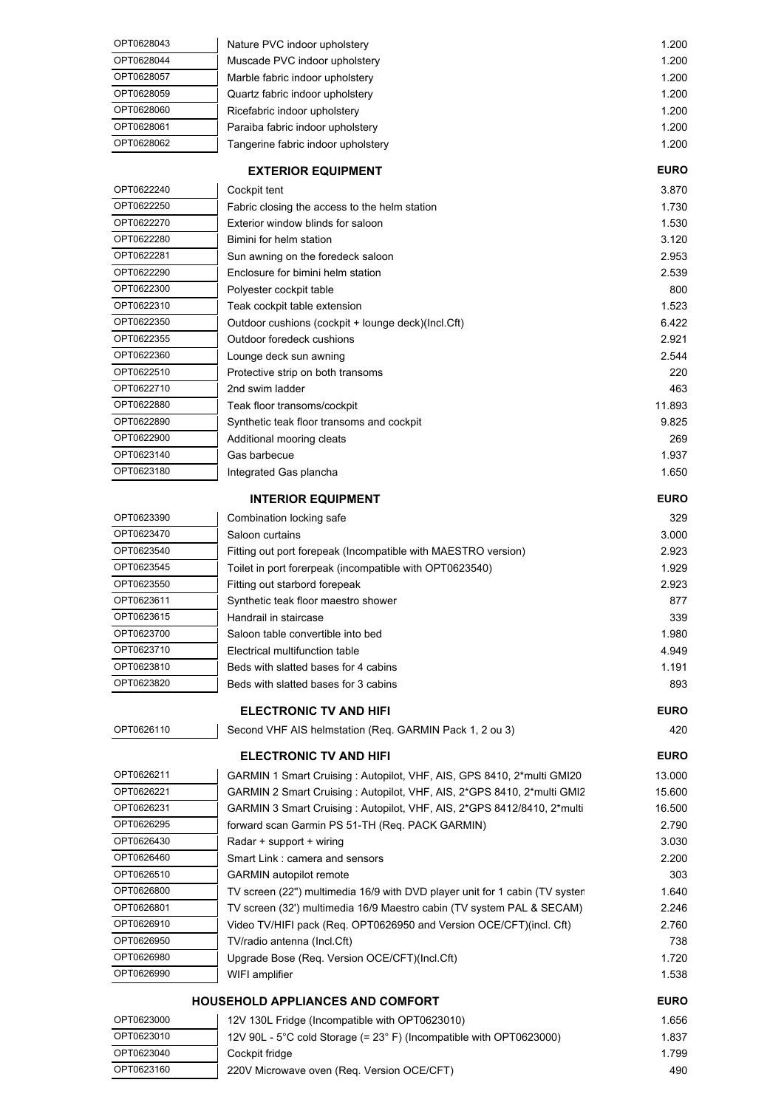| OPT0628043 | Nature PVC indoor upholstery       | 1.200 |
|------------|------------------------------------|-------|
| OPT0628044 | Muscade PVC indoor upholstery      | 1.200 |
| OPT0628057 | Marble fabric indoor upholstery    | 1.200 |
| OPT0628059 | Quartz fabric indoor upholstery    | 1.200 |
| OPT0628060 | Ricefabric indoor upholstery       | 1.200 |
| OPT0628061 | Paraiba fabric indoor upholstery   | 1.200 |
| OPT0628062 | Tangerine fabric indoor upholstery | 1.200 |

| <b>EXTERIOR EQUIPMENT</b> |                                                    | <b>EURO</b> |
|---------------------------|----------------------------------------------------|-------------|
| OPT0622240                | Cockpit tent                                       | 3.870       |
| OPT0622250                | Fabric closing the access to the helm station      | 1.730       |
| OPT0622270                | Exterior window blinds for saloon                  | 1.530       |
| OPT0622280                | Bimini for helm station                            | 3.120       |
| OPT0622281                | Sun awning on the foredeck saloon                  | 2.953       |
| OPT0622290                | Enclosure for bimini helm station                  | 2.539       |
| OPT0622300                | Polyester cockpit table                            | 800         |
| OPT0622310                | Teak cockpit table extension                       | 1.523       |
| OPT0622350                | Outdoor cushions (cockpit + lounge deck)(lncl.Cft) | 6.422       |
| OPT0622355                | Outdoor foredeck cushions                          | 2.921       |
| OPT0622360                | Lounge deck sun awning                             | 2.544       |
| OPT0622510                | Protective strip on both transoms                  | 220         |
| OPT0622710                | 2nd swim ladder                                    | 463         |
| OPT0622880                | Teak floor transoms/cockpit                        | 11.893      |
| OPT0622890                | Synthetic teak floor transoms and cockpit          | 9.825       |
| OPT0622900                | Additional mooring cleats                          | 269         |
| OPT0623140                | Gas barbecue                                       | 1.937       |
| OPT0623180                | Integrated Gas plancha                             | 1.650       |

## **INTERIOR EQUIPMENT EURO**

| OPT0623390 | Combination locking safe                                      | 329   |
|------------|---------------------------------------------------------------|-------|
| OPT0623470 | Saloon curtains                                               | 3.000 |
| OPT0623540 | Fitting out port forepeak (Incompatible with MAESTRO version) | 2.923 |
| OPT0623545 | Toilet in port forerpeak (incompatible with OPT0623540)       | 1.929 |
| OPT0623550 | Fitting out starbord forepeak                                 | 2.923 |
| OPT0623611 | Synthetic teak floor maestro shower                           | 877   |
| OPT0623615 | Handrail in staircase                                         | 339   |
| OPT0623700 | Saloon table convertible into bed                             | 1.980 |
| OPT0623710 | Electrical multifunction table                                | 4.949 |
| OPT0623810 | Beds with slatted bases for 4 cabins                          | 1.191 |
| OPT0623820 | Beds with slatted bases for 3 cabins                          | 893   |
|            |                                                               |       |

## **ELECTRONIC TV AND HIFI EURO** OPT0626110 Second VHF AIS helmstation (Req. GARMIN Pack 1, 2 ou 3) 420 **ELECTRONIC TV AND HIFI EURO** OPT0626211 GARMIN 1 Smart Cruising : Autopilot, VHF, AIS, GPS 8410, 2\*multi GMI20 13.000 OPT0626221 GARMIN 2 Smart Cruising : Autopilot, VHF, AIS, 2\*GPS 8410, 2\*multi GMI2 15.600 OPT0626231 GARMIN 3 Smart Cruising : Autopilot, VHF, AIS, 2\*GPS 8412/8410, 2\*multi 16.500 OPT0626295 forward scan Garmin PS 51-TH (Req. PACK GARMIN) 2.790 OPT0626430 Radar + support + wiring 3.030 OPT0626460 Smart Link : camera and sensors 2.200 OPT0626510 GARMIN autopilot remote 303 OPT0626800 TV screen (22") multimedia 16/9 with DVD player unit for 1 cabin (TV system 1.640 OPT0626801 TV screen (32') multimedia 16/9 Maestro cabin (TV system PAL & SECAM) 2.246

| OPT0626910 | Video TV/HIFI pack (Req. OPT0626950 and Version OCE/CFT)(incl. Cft) | 2.760 |
|------------|---------------------------------------------------------------------|-------|
| OPT0626950 | TV/radio antenna (Incl.Cft)                                         | 738   |
| OPT0626980 | Upgrade Bose (Reg. Version OCE/CFT)(Incl.Cft)                       | 1.720 |
| OPT0626990 | WIFI amplifier                                                      | 1.538 |
|            |                                                                     |       |

| <b>HOUSEHOLD APPLIANCES AND COMFORT</b> |                                                                       | <b>EURO</b> |
|-----------------------------------------|-----------------------------------------------------------------------|-------------|
| OPT0623000                              | 12V 130L Fridge (Incompatible with OPT0623010)                        | 1.656       |
| OPT0623010                              | 12V 90L - 5°C cold Storage $(= 23° F)$ (Incompatible with OPT0623000) | 1.837       |
| OPT0623040                              | Cockpit fridge                                                        | 1.799       |
| OPT0623160                              | 220V Microwave oven (Req. Version OCE/CFT)                            | 490         |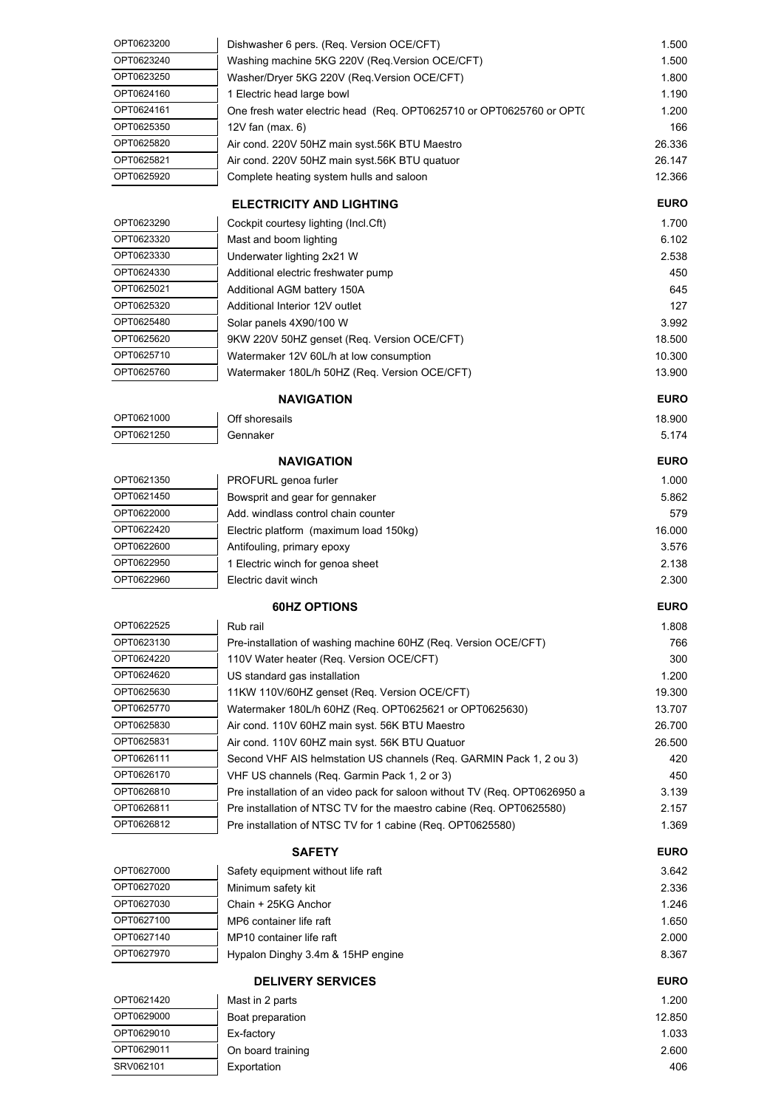| OPT0623200 | Dishwasher 6 pers. (Req. Version OCE/CFT)                                  | 1.500       |
|------------|----------------------------------------------------------------------------|-------------|
| OPT0623240 | Washing machine 5KG 220V (Req.Version OCE/CFT)                             | 1.500       |
| OPT0623250 | Washer/Dryer 5KG 220V (Req.Version OCE/CFT)                                | 1.800       |
| OPT0624160 | 1 Electric head large bowl                                                 | 1.190       |
| OPT0624161 | One fresh water electric head (Req. OPT0625710 or OPT0625760 or OPT(       | 1.200       |
| OPT0625350 | 12V fan $(max 6)$                                                          | 166         |
| OPT0625820 | Air cond. 220V 50HZ main syst.56K BTU Maestro                              | 26.336      |
| OPT0625821 | Air cond. 220V 50HZ main syst.56K BTU quatuor                              | 26.147      |
| OPT0625920 | Complete heating system hulls and saloon                                   | 12.366      |
|            |                                                                            |             |
|            | <b>ELECTRICITY AND LIGHTING</b>                                            | <b>EURO</b> |
| OPT0623290 | Cockpit courtesy lighting (Incl.Cft)                                       | 1.700       |
| OPT0623320 | Mast and boom lighting                                                     | 6.102       |
| OPT0623330 | Underwater lighting 2x21 W                                                 | 2.538       |
| OPT0624330 | Additional electric freshwater pump                                        | 450         |
| OPT0625021 | Additional AGM battery 150A                                                | 645         |
| OPT0625320 | Additional Interior 12V outlet                                             | 127         |
| OPT0625480 | Solar panels 4X90/100 W                                                    | 3.992       |
| OPT0625620 | 9KW 220V 50HZ genset (Req. Version OCE/CFT)                                | 18.500      |
| OPT0625710 | Watermaker 12V 60L/h at low consumption                                    | 10.300      |
| OPT0625760 | Watermaker 180L/h 50HZ (Req. Version OCE/CFT)                              | 13.900      |
|            | <b>NAVIGATION</b>                                                          | <b>EURO</b> |
| OPT0621000 | Off shoresails                                                             | 18.900      |
| OPT0621250 | Gennaker                                                                   | 5.174       |
|            |                                                                            |             |
|            | <b>NAVIGATION</b>                                                          | <b>EURO</b> |
| OPT0621350 | PROFURL genoa furler                                                       | 1.000       |
| OPT0621450 | Bowsprit and gear for gennaker                                             | 5.862       |
| OPT0622000 | Add. windlass control chain counter                                        | 579         |
| OPT0622420 | Electric platform (maximum load 150kg)                                     | 16.000      |
| OPT0622600 | Antifouling, primary epoxy                                                 | 3.576       |
| OPT0622950 | 1 Electric winch for genoa sheet                                           | 2.138       |
| OPT0622960 | Electric davit winch                                                       | 2.300       |
|            | <b>60HZ OPTIONS</b>                                                        | <b>EURO</b> |
| OPT0622525 | Rub rail                                                                   | 1.808       |
| OPT0623130 | Pre-installation of washing machine 60HZ (Req. Version OCE/CFT)            | 766         |
| OPT0624220 | 110V Water heater (Req. Version OCE/CFT)                                   | 300         |
| OPT0624620 | US standard gas installation                                               | 1.200       |
| OPT0625630 | 11KW 110V/60HZ genset (Req. Version OCE/CFT)                               | 19.300      |
| OPT0625770 | Watermaker 180L/h 60HZ (Req. OPT0625621 or OPT0625630)                     | 13.707      |
| OPT0625830 | Air cond. 110V 60HZ main syst. 56K BTU Maestro                             | 26.700      |
| OPT0625831 | Air cond. 110V 60HZ main syst. 56K BTU Quatuor                             | 26.500      |
| OPT0626111 | Second VHF AIS helmstation US channels (Req. GARMIN Pack 1, 2 ou 3)        | 420         |
| OPT0626170 | VHF US channels (Req. Garmin Pack 1, 2 or 3)                               | 450         |
| OPT0626810 | Pre installation of an video pack for saloon without TV (Req. OPT0626950 a | 3.139       |
| OPT0626811 | Pre installation of NTSC TV for the maestro cabine (Req. OPT0625580)       | 2.157       |
| OPT0626812 | Pre installation of NTSC TV for 1 cabine (Req. OPT0625580)                 | 1.369       |
|            |                                                                            |             |
|            | <b>SAFETY</b>                                                              | <b>EURO</b> |
| OPT0627000 | Safety equipment without life raft                                         | 3.642       |
| OPT0627020 | Minimum safety kit                                                         | 2.336       |
| OPT0627030 | Chain + 25KG Anchor                                                        | 1.246       |
| OPT0627100 | MP6 container life raft                                                    | 1.650       |
| OPT0627140 | MP10 container life raft                                                   | 2.000       |
| OPT0627970 | Hypalon Dinghy 3.4m & 15HP engine                                          | 8.367       |
|            | <b>DELIVERY SERVICES</b>                                                   | <b>EURO</b> |
| OPT0621420 | Mast in 2 parts                                                            | 1.200       |
| OPT0629000 | Boat preparation                                                           | 12.850      |
| OPT0629010 | Ex-factory                                                                 | 1.033       |
| OPT0629011 | On board training                                                          | 2.600       |
| SRV062101  | Exportation                                                                | 406         |
|            |                                                                            |             |